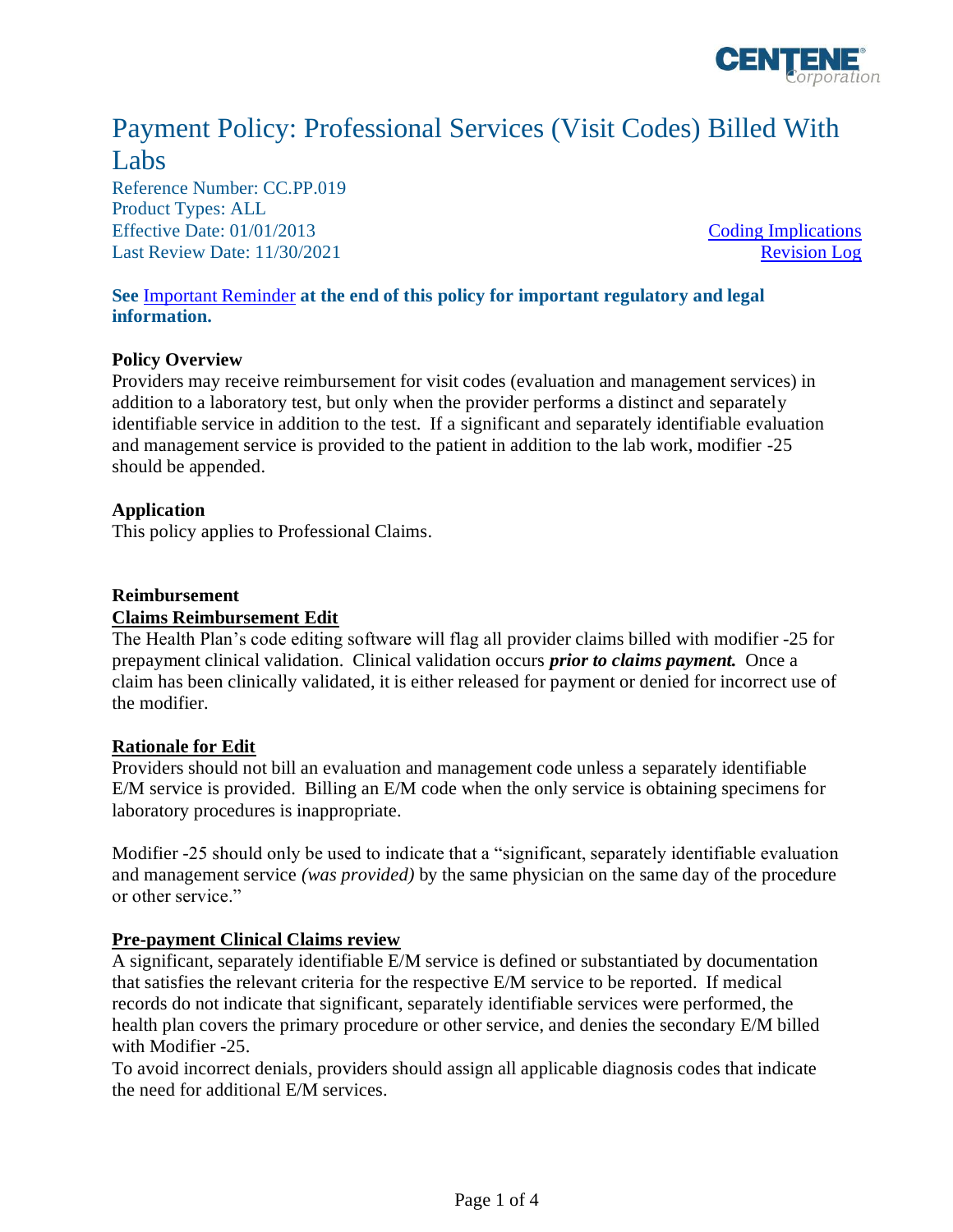

# Payment Policy: Professional Services (Visit Codes) Billed With Labs

Reference Number: CC.PP.019 Product Types: ALL Effective Date: 01/01/2013 [Coding Implications](#page-1-0) Last Review Date: 11/30/2021 [Revision Log](#page-2-0)

### **See** [Important Reminder](#page-2-1) **at the end of this policy for important regulatory and legal information.**

### **Policy Overview**

Providers may receive reimbursement for visit codes (evaluation and management services) in addition to a laboratory test, but only when the provider performs a distinct and separately identifiable service in addition to the test. If a significant and separately identifiable evaluation and management service is provided to the patient in addition to the lab work, modifier -25 should be appended.

### **Application**

This policy applies to Professional Claims.

### **Reimbursement**

### **Claims Reimbursement Edit**

The Health Plan's code editing software will flag all provider claims billed with modifier -25 for prepayment clinical validation. Clinical validation occurs *prior to claims payment.* Once a claim has been clinically validated, it is either released for payment or denied for incorrect use of the modifier.

### **Rationale for Edit**

Providers should not bill an evaluation and management code unless a separately identifiable E/M service is provided. Billing an E/M code when the only service is obtaining specimens for laboratory procedures is inappropriate.

Modifier -25 should only be used to indicate that a "significant, separately identifiable evaluation and management service *(was provided)* by the same physician on the same day of the procedure or other service."

### **Pre-payment Clinical Claims review**

A significant, separately identifiable E/M service is defined or substantiated by documentation that satisfies the relevant criteria for the respective E/M service to be reported. If medical records do not indicate that significant, separately identifiable services were performed, the health plan covers the primary procedure or other service, and denies the secondary E/M billed with Modifier -25.

To avoid incorrect denials, providers should assign all applicable diagnosis codes that indicate the need for additional E/M services.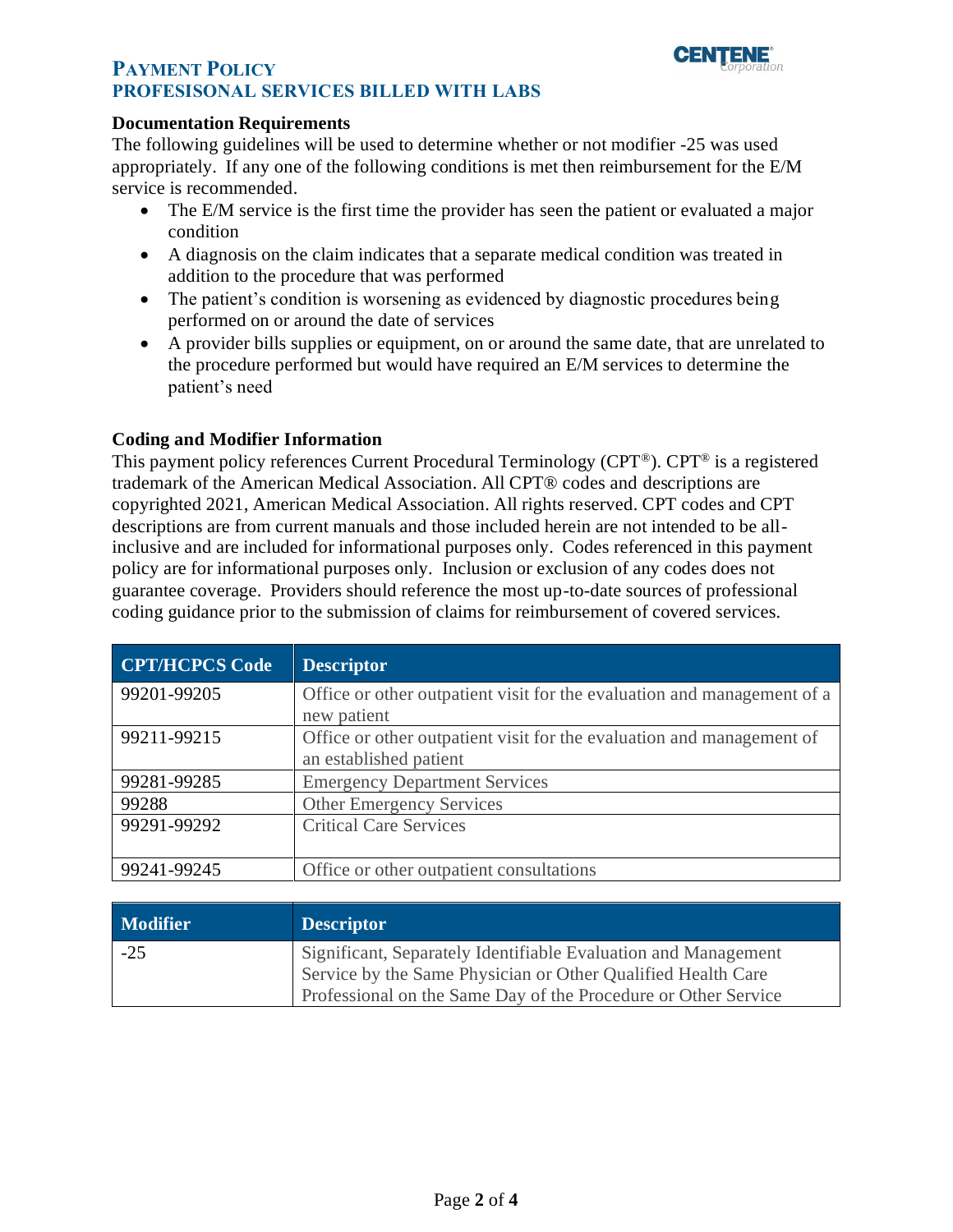

# **PAYMENT POLICY PROFESISONAL SERVICES BILLED WITH LABS**

### **Documentation Requirements**

The following guidelines will be used to determine whether or not modifier -25 was used appropriately. If any one of the following conditions is met then reimbursement for the E/M service is recommended.

- The E/M service is the first time the provider has seen the patient or evaluated a major condition
- A diagnosis on the claim indicates that a separate medical condition was treated in addition to the procedure that was performed
- The patient's condition is worsening as evidenced by diagnostic procedures being performed on or around the date of services
- A provider bills supplies or equipment, on or around the same date, that are unrelated to the procedure performed but would have required an E/M services to determine the patient's need

## <span id="page-1-0"></span>**Coding and Modifier Information**

This payment policy references Current Procedural Terminology (CPT®). CPT® is a registered trademark of the American Medical Association. All CPT® codes and descriptions are copyrighted 2021, American Medical Association. All rights reserved. CPT codes and CPT descriptions are from current manuals and those included herein are not intended to be allinclusive and are included for informational purposes only. Codes referenced in this payment policy are for informational purposes only. Inclusion or exclusion of any codes does not guarantee coverage. Providers should reference the most up-to-date sources of professional coding guidance prior to the submission of claims for reimbursement of covered services.

| <b>CPT/HCPCS Code</b> | <b>Descriptor</b>                                                                               |
|-----------------------|-------------------------------------------------------------------------------------------------|
| 99201-99205           | Office or other outpatient visit for the evaluation and management of a<br>new patient          |
| 99211-99215           | Office or other outpatient visit for the evaluation and management of<br>an established patient |
| 99281-99285           | <b>Emergency Department Services</b>                                                            |
| 99288                 | <b>Other Emergency Services</b>                                                                 |
| 99291-99292           | <b>Critical Care Services</b>                                                                   |
| 99241-99245           | Office or other outpatient consultations                                                        |

| <b>Modifier</b> | <b>Descriptor</b>                                                                                                                                                                                |
|-----------------|--------------------------------------------------------------------------------------------------------------------------------------------------------------------------------------------------|
| $-25$           | Significant, Separately Identifiable Evaluation and Management<br>Service by the Same Physician or Other Qualified Health Care<br>Professional on the Same Day of the Procedure or Other Service |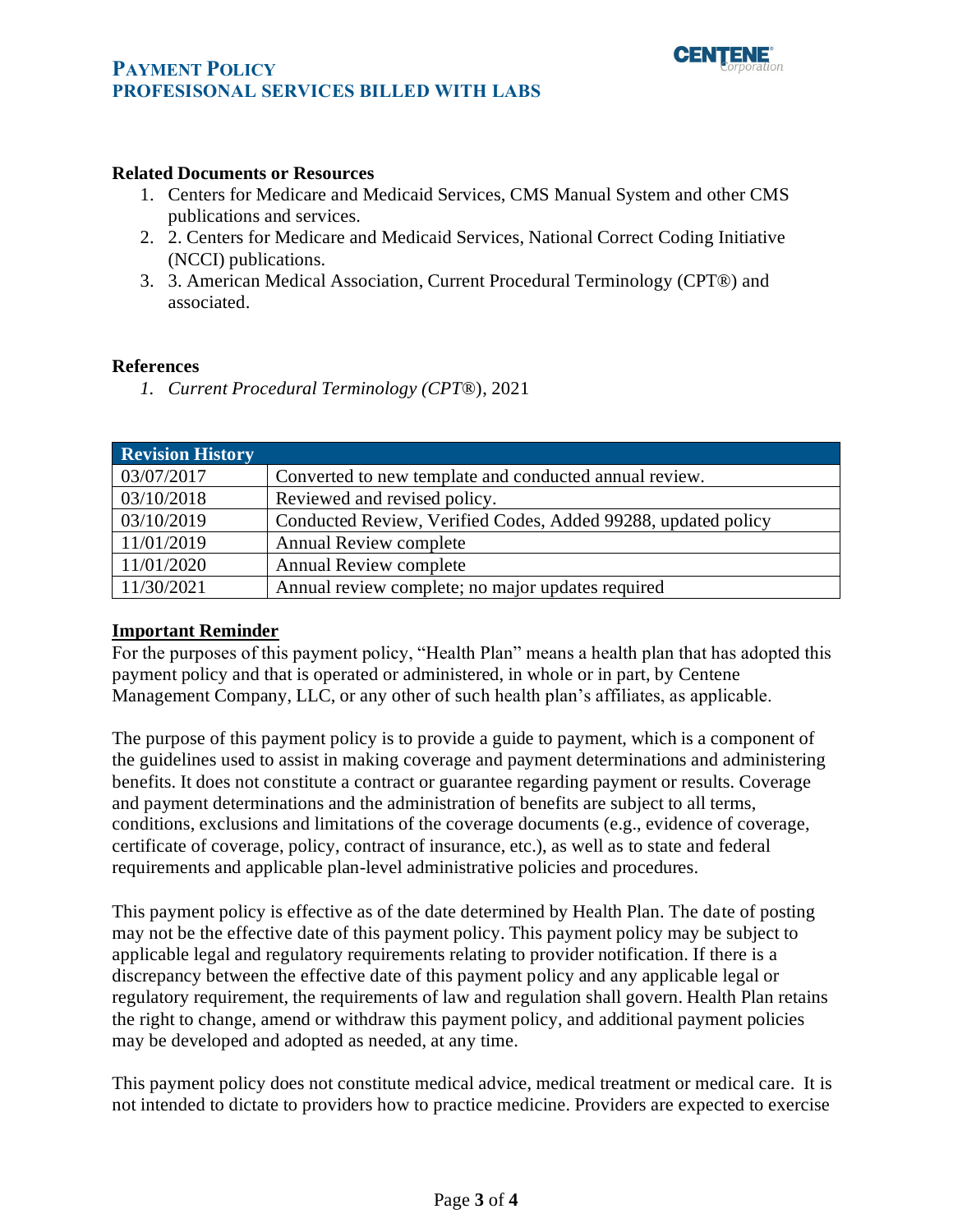

# **PAYMENT POLICY PROFESISONAL SERVICES BILLED WITH LABS**

### **Related Documents or Resources**

- 1. Centers for Medicare and Medicaid Services, CMS Manual System and other CMS publications and services.
- 2. 2. Centers for Medicare and Medicaid Services, National Correct Coding Initiative (NCCI) publications.
- 3. 3. American Medical Association, Current Procedural Terminology (CPT®) and associated.

### **References**

*1. Current Procedural Terminology (CPT*®), 2021

<span id="page-2-0"></span>

| <b>Revision History</b> |                                                               |
|-------------------------|---------------------------------------------------------------|
| 03/07/2017              | Converted to new template and conducted annual review.        |
| 03/10/2018              | Reviewed and revised policy.                                  |
| 03/10/2019              | Conducted Review, Verified Codes, Added 99288, updated policy |
| 11/01/2019              | <b>Annual Review complete</b>                                 |
| 11/01/2020              | <b>Annual Review complete</b>                                 |
| 11/30/2021              | Annual review complete; no major updates required             |

### <span id="page-2-1"></span>**Important Reminder**

For the purposes of this payment policy, "Health Plan" means a health plan that has adopted this payment policy and that is operated or administered, in whole or in part, by Centene Management Company, LLC, or any other of such health plan's affiliates, as applicable.

The purpose of this payment policy is to provide a guide to payment, which is a component of the guidelines used to assist in making coverage and payment determinations and administering benefits. It does not constitute a contract or guarantee regarding payment or results. Coverage and payment determinations and the administration of benefits are subject to all terms, conditions, exclusions and limitations of the coverage documents (e.g., evidence of coverage, certificate of coverage, policy, contract of insurance, etc.), as well as to state and federal requirements and applicable plan-level administrative policies and procedures.

This payment policy is effective as of the date determined by Health Plan. The date of posting may not be the effective date of this payment policy. This payment policy may be subject to applicable legal and regulatory requirements relating to provider notification. If there is a discrepancy between the effective date of this payment policy and any applicable legal or regulatory requirement, the requirements of law and regulation shall govern. Health Plan retains the right to change, amend or withdraw this payment policy, and additional payment policies may be developed and adopted as needed, at any time.

This payment policy does not constitute medical advice, medical treatment or medical care. It is not intended to dictate to providers how to practice medicine. Providers are expected to exercise